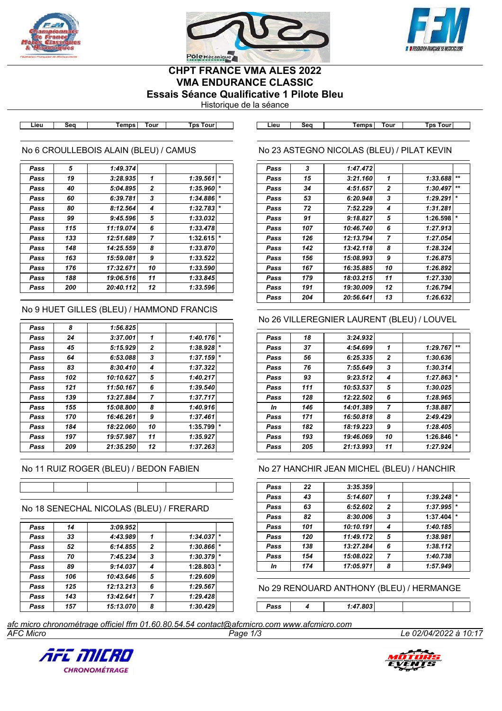





## **CHPT FRANCE VMA ALES 2022 VMA ENDURANCE CLASSIC Essais Séance Qualificative 1 Pilote Bleu**

Historique de la séance

**Lieu Seq Temps Tour Tps Tour Lieu Seq Temps Tour Tps Tour**

## No 6 CROULLEBOIS ALAIN (BLEU) / CAMUS

| Pass | 5   | 1:49.374  |              |          |         |
|------|-----|-----------|--------------|----------|---------|
| Pass | 19  | 3:28.935  | 1            | 1:39.561 | $\star$ |
| Pass | 40  | 5:04.895  | $\mathbf{2}$ | 1:35.960 | $\star$ |
| Pass | 60  | 6:39.781  | 3            | 1:34.886 | $\star$ |
| Pass | 80  | 8:12.564  | 4            | 1:32.783 | $\star$ |
| Pass | 99  | 9:45.596  | 5            | 1:33.032 |         |
| Pass | 115 | 11:19.074 | 6            | 1:33.478 |         |
| Pass | 133 | 12:51.689 | 7            | 1:32.615 | $\star$ |
| Pass | 148 | 14:25.559 | 8            | 1:33.870 |         |
| Pass | 163 | 15:59.081 | 9            | 1:33.522 |         |
| Pass | 176 | 17:32.671 | 10           | 1:33.590 |         |
| Pass | 188 | 19:06.516 | 11           | 1:33.845 |         |
| Pass | 200 | 20:40.112 | 12           | 1:33.596 |         |
|      |     |           |              |          |         |

## No 9 HUET GILLES (BLEU) / HAMMOND FRANCIS

| Pass | 8   | 1:56.825  |              |          |         |
|------|-----|-----------|--------------|----------|---------|
| Pass | 24  | 3:37.001  | 1            | 1:40.176 | $\star$ |
| Pass | 45  | 5:15.929  | $\mathbf{2}$ | 1:38.928 | $\star$ |
| Pass | 64  | 6:53.088  | 3            | 1:37.159 | $\star$ |
| Pass | 83  | 8:30.410  | 4            | 1:37.322 |         |
| Pass | 102 | 10:10.627 | 5            | 1:40.217 |         |
| Pass | 121 | 11:50.167 | 6            | 1:39.540 |         |
| Pass | 139 | 13:27.884 | 7            | 1:37.717 |         |
| Pass | 155 | 15:08.800 | 8            | 1:40.916 |         |
| Pass | 170 | 16:46.261 | 9            | 1:37.461 |         |
| Pass | 184 | 18:22.060 | 10           | 1:35.799 | $\star$ |
| Pass | 197 | 19:57.987 | 11           | 1:35.927 |         |
| Pass | 209 | 21:35.250 | 12           | 1:37.263 |         |
|      |     |           |              |          |         |

## No 11 RUIZ ROGER (BLEU) / BEDON FABIEN

# No 18 SENECHAL NICOLAS (BLEU) / FRERARD

| Pass | 14  | 3:09.952  |                |          |         |
|------|-----|-----------|----------------|----------|---------|
| Pass | 33  | 4:43.989  | 1              | 1:34.037 | $\star$ |
| Pass | 52  | 6:14.855  | $\overline{2}$ | 1:30.866 | $\star$ |
| Pass | 70  | 7:45.234  | 3              | 1:30.379 | $\star$ |
| Pass | 89  | 9:14.037  | 4              | 1:28.803 | $\star$ |
| Pass | 106 | 10:43.646 | 5              | 1:29.609 |         |
| Pass | 125 | 12:13.213 | 6              | 1:29.567 |         |
| Pass | 143 | 13:42.641 | 7              | 1:29.428 |         |
| Pass | 157 | 15:13.070 | 8              | 1:30.429 |         |

| No 23 ASTEGNO NICOLAS (BLEU) / PILAT KEVIN |  |
|--------------------------------------------|--|
|                                            |  |

| Pass | 3   | 1:47.472  |                |          |         |
|------|-----|-----------|----------------|----------|---------|
| Pass | 15  | 3:21.160  | 1              | 1:33.688 | $+ +$   |
| Pass | 34  | 4:51.657  | 2              | 1:30.497 | $+ +$   |
| Pass | 53  | 6:20.948  | 3              | 1:29.291 | $\star$ |
| Pass | 72  | 7:52.229  | 4              | 1:31.281 |         |
| Pass | 91  | 9:18.827  | 5              | 1:26.598 | $\star$ |
| Pass | 107 | 10:46.740 | 6              | 1:27.913 |         |
| Pass | 126 | 12:13.794 | $\overline{7}$ | 1:27.054 |         |
| Pass | 142 | 13:42.118 | 8              | 1:28.324 |         |
| Pass | 156 | 15:08.993 | 9              | 1:26.875 |         |
| Pass | 167 | 16:35.885 | 10             | 1:26.892 |         |
| Pass | 179 | 18:03.215 | 11             | 1:27.330 |         |
| Pass | 191 | 19:30.009 | 12             | 1:26.794 |         |
| Pass | 204 | 20:56.641 | 13             | 1:26.632 |         |
|      |     |           |                |          |         |

## No 26 VILLEREGNIER LAURENT (BLEU) / LOUVEL

| Pass | 18  | 3:24.932  |                |          |         |
|------|-----|-----------|----------------|----------|---------|
| Pass | 37  | 4:54.699  | 1              | 1:29.767 | $**$    |
| Pass | 56  | 6:25.335  | $\mathbf{2}$   | 1:30.636 |         |
| Pass | 76  | 7:55.649  | 3              | 1:30.314 |         |
| Pass | 93  | 9:23.512  | 4              | 1:27.863 | $\star$ |
| Pass | 111 | 10:53.537 | 5              | 1:30.025 |         |
| Pass | 128 | 12:22.502 | 6              | 1:28.965 |         |
| In   | 146 | 14:01.389 | $\overline{7}$ | 1:38.887 |         |
| Pass | 171 | 16:50.818 | 8              | 2:49.429 |         |
| Pass | 182 | 18:19.223 | 9              | 1:28.405 |         |
| Pass | 193 | 19:46.069 | 10             | 1:26.846 | $\star$ |
| Pass | 205 | 21:13.993 | 11             | 1:27.924 |         |

#### No 27 HANCHIR JEAN MICHEL (BLEU) / HANCHIR

| Pass | 22  | 3:35.359  |                |          |         |
|------|-----|-----------|----------------|----------|---------|
| Pass | 43  | 5:14.607  | 1              | 1:39.248 | $\star$ |
| Pass | 63  | 6:52.602  | $\overline{2}$ | 1:37.995 | $\star$ |
| Pass | 82  | 8:30.006  | 3              | 1:37.404 | $\star$ |
| Pass | 101 | 10:10.191 | 4              | 1:40.185 |         |
| Pass | 120 | 11:49.172 | 5              | 1:38.981 |         |
| Pass | 138 | 13:27.284 | 6              | 1:38.112 |         |
| Pass | 154 | 15:08.022 | $\overline{7}$ | 1:40.738 |         |
| In   | 174 | 17:05.971 | 8              | 1:57.949 |         |

#### No 29 RENOUARD ANTHONY (BLEU) / HERMANGE

*Pass 4 1:47.803*

*AFC Micro Page 1/3 Le 02/04/2022 à 10:17 afc micro chronométrage officiel ffm 01.60.80.54.54 contact@afcmicro.com www.afcmicro.com*



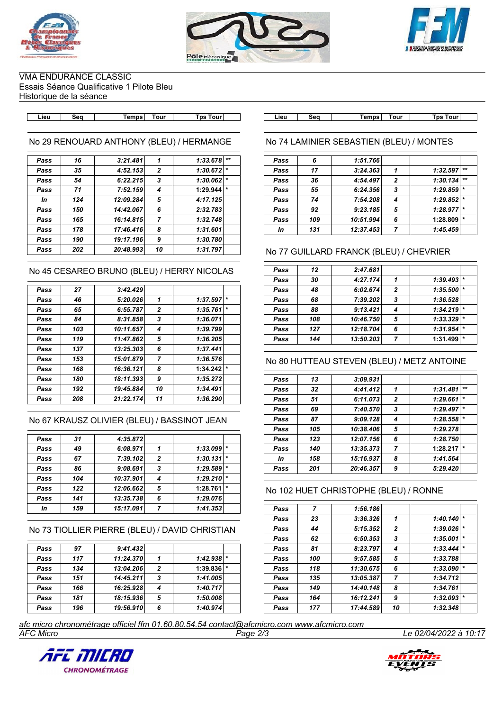





VMA ENDURANCE CLASSIC Essais Séance Qualificative 1 Pilote Bleu Historique de la séance

No 29 RENOUARD ANTHONY (BLEU) / HERMANGE

| Pass | 16  | 3:21.481  | 1              | 1:33.678 | $***$   |
|------|-----|-----------|----------------|----------|---------|
| Pass | 35  | 4:52.153  | $\overline{2}$ | 1:30.672 | $\star$ |
| Pass | 54  | 6:22.215  | 3              | 1:30.062 | $\star$ |
| Pass | 71  | 7:52.159  | 4              | 1:29.944 | $\star$ |
| In   | 124 | 12:09.284 | 5              | 4:17.125 |         |
| Pass | 150 | 14:42.067 | 6              | 2:32.783 |         |
| Pass | 165 | 16:14.815 | $\overline{7}$ | 1:32.748 |         |
| Pass | 178 | 17:46.416 | 8              | 1:31.601 |         |
| Pass | 190 | 19:17.196 | 9              | 1:30.780 |         |
| Pass | 202 | 20:48.993 | 10             | 1:31.797 |         |
|      |     |           |                |          |         |

No 45 CESAREO BRUNO (BLEU) / HERRY NICOLAS

| Pass | 27  | 3:42.429  |              |          |         |
|------|-----|-----------|--------------|----------|---------|
| Pass | 46  | 5:20.026  | 1            | 1:37.597 | $\star$ |
| Pass | 65  | 6:55.787  | $\mathbf{2}$ | 1:35.761 | $\star$ |
| Pass | 84  | 8:31.858  | 3            | 1:36.071 |         |
| Pass | 103 | 10:11.657 | 4            | 1:39.799 |         |
| Pass | 119 | 11:47.862 | 5            | 1:36.205 |         |
| Pass | 137 | 13:25.303 | 6            | 1:37.441 |         |
| Pass | 153 | 15:01.879 | 7            | 1:36.576 |         |
| Pass | 168 | 16:36.121 | 8            | 1:34.242 |         |
| Pass | 180 | 18:11.393 | 9            | 1:35.272 |         |
| Pass | 192 | 19:45.884 | 10           | 1:34.491 |         |
| Pass | 208 | 21:22.174 | 11           | 1:36.290 |         |
|      |     |           |              |          |         |

## No 67 KRAUSZ OLIVIER (BLEU) / BASSINOT JEAN

| Pass | 31  | 4:35.872  |                |          |         |
|------|-----|-----------|----------------|----------|---------|
| Pass | 49  | 6:08.971  | 1              | 1:33.099 | $\star$ |
| Pass | 67  | 7:39.102  | $\overline{2}$ | 1:30.131 |         |
| Pass | 86  | 9:08.691  | 3              | 1:29.589 | $\star$ |
| Pass | 104 | 10:37.901 | 4              | 1:29.210 | $\star$ |
| Pass | 122 | 12:06.662 | 5              | 1:28.761 | $\star$ |
| Pass | 141 | 13:35.738 | 6              | 1:29.076 |         |
| In   | 159 | 15:17.091 | 7              | 1:41.353 |         |
|      |     |           |                |          |         |

No 73 TIOLLIER PIERRE (BLEU) / DAVID CHRISTIAN

| Pass | 97  | 9:41.432  |   |              |         |
|------|-----|-----------|---|--------------|---------|
| Pass | 117 | 11:24.370 |   | $1:42.938$ * |         |
| Pass | 134 | 13:04.206 | 2 | 1:39.836     | $\star$ |
| Pass | 151 | 14:45.211 | 3 | 1:41.005     |         |
| Pass | 166 | 16:25.928 |   | 1:40.717     |         |
| Pass | 181 | 18:15.936 | 5 | 1:50.008     |         |
| Pass | 196 | 19:56.910 | 6 | 1:40.974     |         |

**Lieu Seq Temps Tour Tps Tour Lieu Seq Temps Tour Tps Tour**

## No 74 LAMINIER SEBASTIEN (BLEU) / MONTES

| Pass | 6   | 1:51.766  |                |          |         |
|------|-----|-----------|----------------|----------|---------|
| Pass | 17  | 3:24.363  | 1              | 1:32.597 | $***$   |
| Pass | 36  | 4:54.497  | $\overline{2}$ | 1:30.134 | $***$   |
| Pass | 55  | 6:24.356  | 3              | 1:29.859 | $\ast$  |
| Pass | 74  | 7:54.208  | 4              | 1:29.852 | $\star$ |
| Pass | 92  | 9:23.185  | 5              | 1:28.977 | $\star$ |
| Pass | 109 | 10:51.994 | 6              | 1:28.809 | $\ast$  |
| In   | 131 | 12:37.453 | 7              | 1:45.459 |         |

## No 77 GUILLARD FRANCK (BLEU) / CHEVRIER

| Pass | 12  | 2:47.681  |                |          |         |
|------|-----|-----------|----------------|----------|---------|
| Pass | 30  | 4:27.174  |                | 1:39.493 |         |
| Pass | 48  | 6:02.674  | $\overline{2}$ | 1:35.500 | $\star$ |
| Pass | 68  | 7:39.202  | 3              | 1:36.528 |         |
| Pass | 88  | 9:13.421  | 4              | 1:34.219 | $\star$ |
| Pass | 108 | 10:46.750 | 5              | 1:33.329 |         |
| Pass | 127 | 12:18.704 | 6              | 1:31.954 | $\star$ |
| Pass | 144 | 13:50.203 | 7              | 1:31.499 | $\star$ |

## No 80 HUTTEAU STEVEN (BLEU) / METZ ANTOINE

| Pass | 13  | 3:09.931  |              |          |         |
|------|-----|-----------|--------------|----------|---------|
| Pass | 32  | 4:41.412  | 1            | 1:31.481 | $***$   |
| Pass | 51  | 6:11.073  | $\mathbf{2}$ | 1:29.661 |         |
| Pass | 69  | 7:40.570  | 3            | 1:29.497 | $\star$ |
| Pass | 87  | 9:09.128  | 4            | 1:28.558 | $\star$ |
| Pass | 105 | 10:38.406 | 5            | 1:29.278 |         |
| Pass | 123 | 12:07.156 | 6            | 1:28.750 |         |
| Pass | 140 | 13:35.373 | 7            | 1:28.217 | $\star$ |
| In   | 158 | 15:16.937 | 8            | 1:41.564 |         |
| Pass | 201 | 20:46.357 | 9            | 5:29.420 |         |

# No 102 HUET CHRISTOPHE (BLEU) / RONNE

| Pass | 7   | 1:56.186  |                |          |         |
|------|-----|-----------|----------------|----------|---------|
| Pass | 23  | 3:36.326  | 1              | 1:40.140 | $\star$ |
| Pass | 44  | 5:15.352  | $\mathbf{2}$   | 1:39.026 | $\star$ |
| Pass | 62  | 6:50.353  | 3              | 1:35.001 | $\star$ |
| Pass | 81  | 8:23.797  | 4              | 1:33.444 | $\ast$  |
| Pass | 100 | 9:57.585  | 5              | 1:33.788 |         |
| Pass | 118 | 11:30.675 | 6              | 1:33.090 | $\star$ |
| Pass | 135 | 13:05.387 | $\overline{7}$ | 1:34.712 |         |
| Pass | 149 | 14:40.148 | 8              | 1:34.761 |         |
| Pass | 164 | 16:12.241 | 9              | 1:32.093 | $\star$ |
| Pass | 177 | 17:44.589 | 10             | 1:32.348 |         |

*AFC Micro Page 2/3 Le 02/04/2022 à 10:17 afc micro chronométrage officiel ffm 01.60.80.54.54 contact@afcmicro.com www.afcmicro.com*